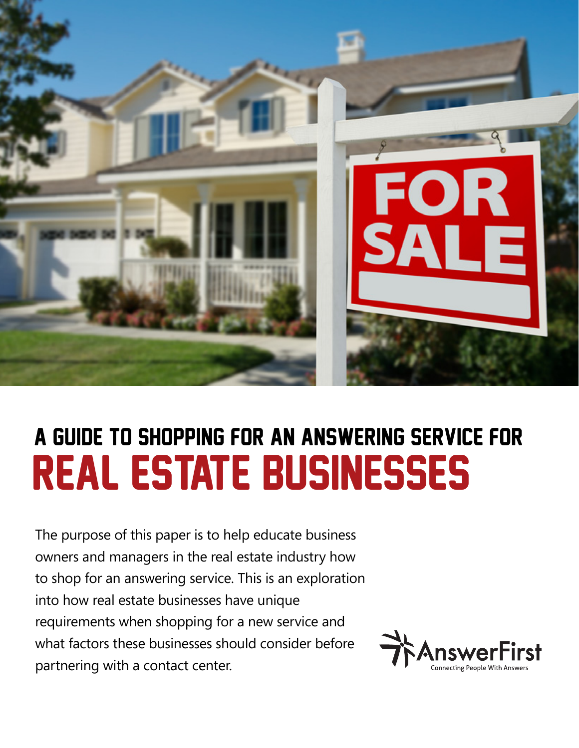

# REAL ESTATE Businesses A Guide to Shopping for an Answering Service for

The purpose of this paper is to help educate business owners and managers in the real estate industry how to shop for an answering service. This is an exploration into how real estate businesses have unique requirements when shopping for a new service and what factors these businesses should consider before partnering with a contact center.

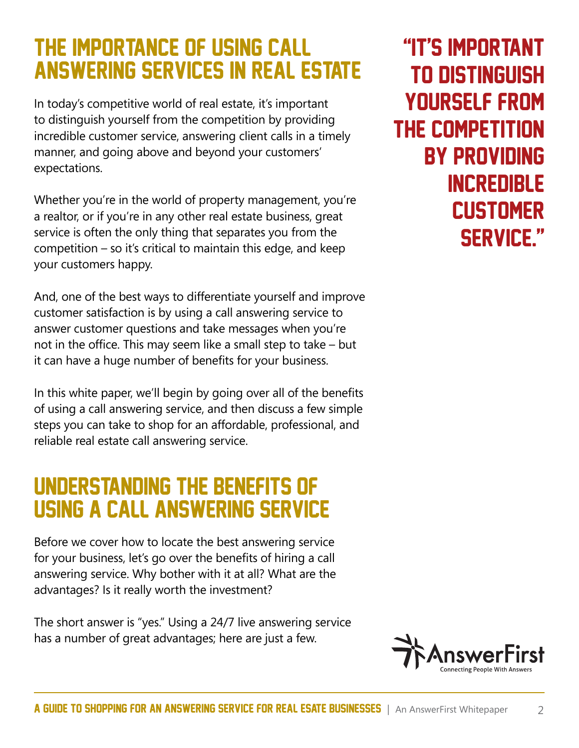### The Importance Of Using Call Answering Services In Real Estate

In today's competitive world of real estate, it's important to distinguish yourself from the competition by providing incredible customer service, answering client calls in a timely manner, and going above and beyond your customers' expectations.

Whether you're in the world of property management, you're a realtor, or if you're in any other real estate business, great service is often the only thing that separates you from the competition – so it's critical to maintain this edge, and keep your customers happy.

And, one of the best ways to differentiate yourself and improve customer satisfaction is by using a call answering service to answer customer questions and take messages when you're not in the office. This may seem like a small step to take – but it can have a huge number of benefits for your business.

In this white paper, we'll begin by going over all of the benefits of using a call answering service, and then discuss a few simple steps you can take to shop for an affordable, professional, and reliable real estate call answering service.

### Understanding The Benefits Of Using A Call Answering Service

Before we cover how to locate the best answering service for your business, let's go over the benefits of hiring a call answering service. Why bother with it at all? What are the advantages? Is it really worth the investment?

The short answer is "yes." Using a 24/7 live answering service has a number of great advantages; here are just a few.

"it's important to distinguish yourself from the competition by providing **INCREDIBLE CUSTOMER** service."

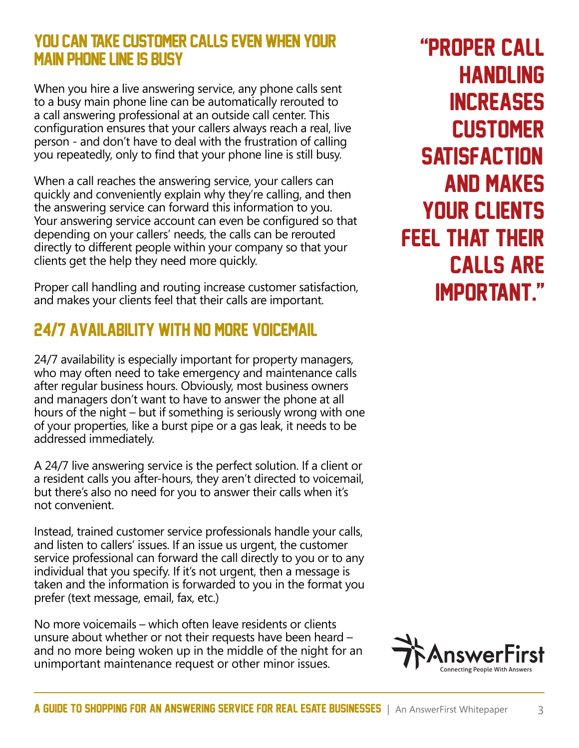### YOU CAN TAKE CUSTOMER CALLS EVEN WHEN YOUR main phone line is busy

When you hire a live answering service, any phone calls sent to a busy main phone line can be automatically rerouted to a call answering professional at an outside call center. This configuration ensures that your callers always reach a real, live person - and don't have to deal with the frustration of calling you repeatedly, only to find that your phone line is still busy.

When a call reaches the answering service, your callers can quickly and conveniently explain why they're calling, and then the answering service can forward this information to you. Your answering service account can even be configured so that depending on your callers' needs, the calls can be rerouted directly to different people within your company so that your clients get the help they need more quickly.

Proper call handling and routing increase customer satisfaction, and makes your clients feel that their calls are important.

### 24/7 availability with no more voicemaiL

24/7 availability is especially important for property managers, who may often need to take emergency and maintenance calls after regular business hours. Obviously, most business owners and managers don't want to have to answer the phone at all hours of the night – but if something is seriously wrong with one of your properties, like a burst pipe or a gas leak, it needs to be addressed immediately.

A 24/7 live answering service is the perfect solution. If a client or a resident calls you after-hours, they aren't directed to voicemail, but there's also no need for you to answer their calls when it's not convenient.

Instead, trained customer service professionals handle your calls, and listen to callers' issues. If an issue us urgent, the customer service professional can forward the call directly to you or to any individual that you specify. If it's not urgent, then a message is taken and the information is forwarded to you in the format you prefer (text message, email, fax, etc.)

No more voicemails – which often leave residents or clients unsure about whether or not their requests have been heard – and no more being woken up in the middle of the night for an unimportant maintenance request or other minor issues.

"Proper call **HANDLING INCREASES CUSTOMER SATISFACTION** and makes your clients feel that their calls are important."

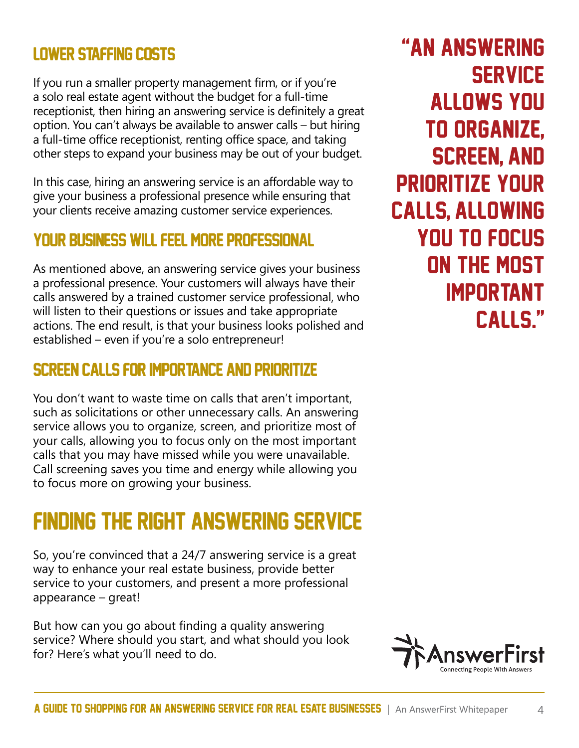### Lower staffing costs

If you run a smaller property management firm, or if you're a solo real estate agent without the budget for a full-time receptionist, then hiring an answering service is definitely a great option. You can't always be available to answer calls – but hiring a full-time office receptionist, renting office space, and taking other steps to expand your business may be out of your budget.

In this case, hiring an answering service is an affordable way to give your business a professional presence while ensuring that your clients receive amazing customer service experiences.

### Your business will feel more professional

As mentioned above, an answering service gives your business a professional presence. Your customers will always have their calls answered by a trained customer service professional, who will listen to their questions or issues and take appropriate actions. The end result, is that your business looks polished and established – even if you're a solo entrepreneur!

### Screen calls for importance and prioritize

You don't want to waste time on calls that aren't important, such as solicitations or other unnecessary calls. An answering service allows you to organize, screen, and prioritize most of your calls, allowing you to focus only on the most important calls that you may have missed while you were unavailable. Call screening saves you time and energy while allowing you to focus more on growing your business.

### FINDING THE RIGHT ANSWERING SERVICE

So, you're convinced that a 24/7 answering service is a great way to enhance your real estate business, provide better service to your customers, and present a more professional appearance – great!

But how can you go about finding a quality answering service? Where should you start, and what should you look for? Here's what you'll need to do.



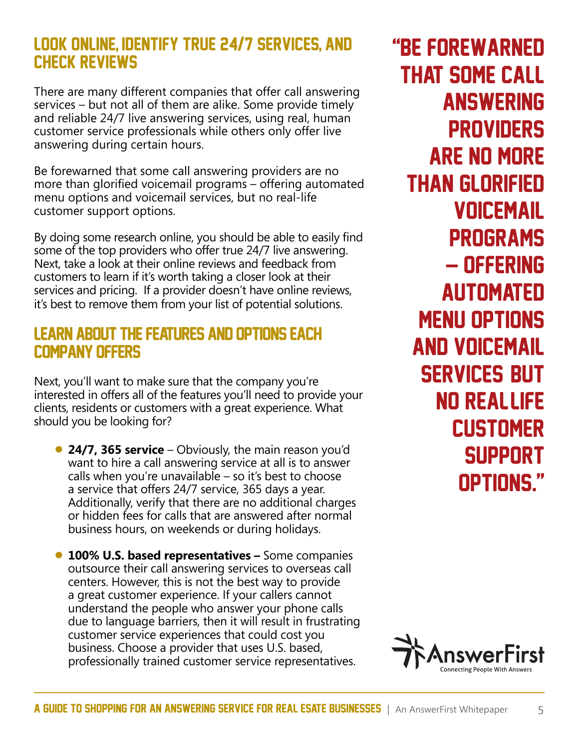### Look Online, Identify True 24/7 Services, and Check Reviews

There are many different companies that offer call answering services – but not all of them are alike. Some provide timely and reliable 24/7 live answering services, using real, human customer service professionals while others only offer live answering during certain hours.

Be forewarned that some call answering providers are no more than glorified voicemail programs – offering automated menu options and voicemail services, but no real-life customer support options.

By doing some research online, you should be able to easily find some of the top providers who offer true 24/7 live answering. Next, take a look at their online reviews and feedback from customers to learn if it's worth taking a closer look at their services and pricing. If a provider doesn't have online reviews, it's best to remove them from your list of potential solutions.

#### Learn About The Features And Options Each Company Offers

Next, you'll want to make sure that the company you're interested in offers all of the features you'll need to provide your clients, residents or customers with a great experience. What should you be looking for?

- **24/7, 365 service**  Obviously, the main reason you'd want to hire a call answering service at all is to answer calls when you're unavailable  $-$  so it's best to choose a service that offers 24/7 service, 365 days a year. Additionally, verify that there are no additional charges or hidden fees for calls that are answered after normal business hours, on weekends or during holidays.
- **100% U.S. based representatives** Some companies outsource their call answering services to overseas call centers. However, this is not the best way to provide a great customer experience. If your callers cannot understand the people who answer your phone calls due to language barriers, then it will result in frustrating customer service experiences that could cost you business. Choose a provider that uses U.S. based, professionally trained customer service representatives.

"Be forewarned that some call **ANSWERING PROVIDERS** are no more than glorified voicemail **PROGRAMS** – offering **AUTOMATED** menu options and voicemail **SERVICES BUT** no real-life **CUSTOMER SUPPORT** options."

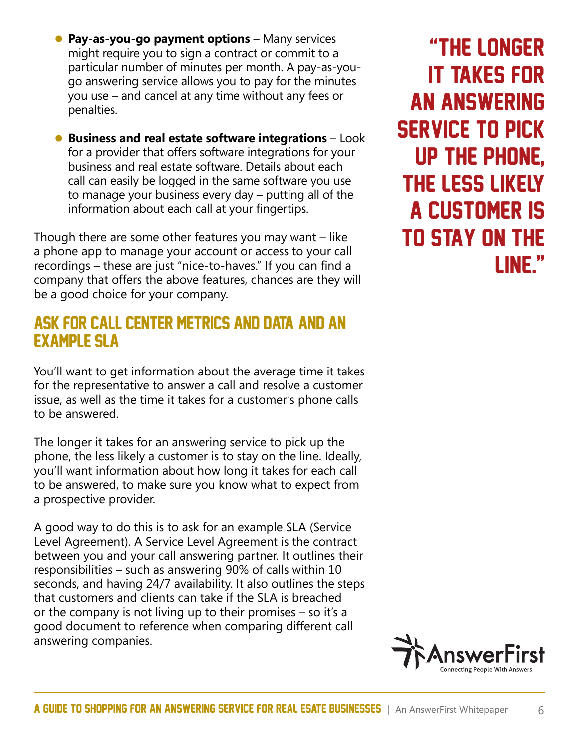- Pay-as-you-go payment options Many services might require you to sign a contract or commit to a particular number of minutes per month. A pay-as-yougo answering service allows you to pay for the minutes you use – and cancel at any time without any fees or penalties.
- **Business and real estate software integrations**  Look for a provider that offers software integrations for your business and real estate software. Details about each call can easily be logged in the same software you use to manage your business every day – putting all of the information about each call at your fingertips.

Though there are some other features you may want – like a phone app to manage your account or access to your call recordings – these are just "nice-to-haves." If you can find a company that offers the above features, chances are they will be a good choice for your company.

#### Ask For Call Center Metrics And Data, And An Example SLA

You'll want to get information about the average time it takes for the representative to answer a call and resolve a customer issue, as well as the time it takes for a customer's phone calls to be answered.

The longer it takes for an answering service to pick up the phone, the less likely a customer is to stay on the line. Ideally, you'll want information about how long it takes for each call to be answered, to make sure you know what to expect from a prospective provider.

A good way to do this is to ask for an example SLA (Service Level Agreement). A Service Level Agreement is the contract between you and your call answering partner. It outlines their responsibilities – such as answering 90% of calls within 10 seconds, and having 24/7 availability. It also outlines the steps that customers and clients can take if the SLA is breached or the company is not living up to their promises – so it's a good document to reference when comparing different call answering companies.

"The longer it takes for an answering service to pick up the phone, the less likely a customer is to stay on the line."